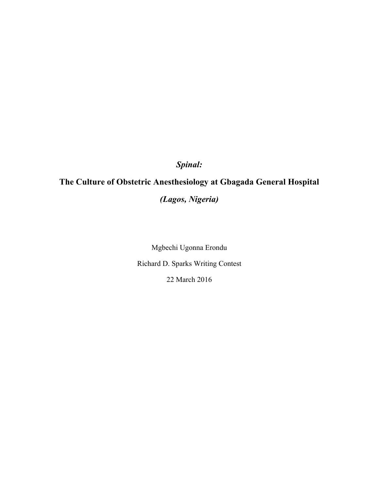*Spinal:*

# **The Culture of Obstetric Anesthesiology at Gbagada General Hospital**

*(Lagos, Nigeria)*

Mgbechi Ugonna Erondu Richard D. Sparks Writing Contest 22 March 2016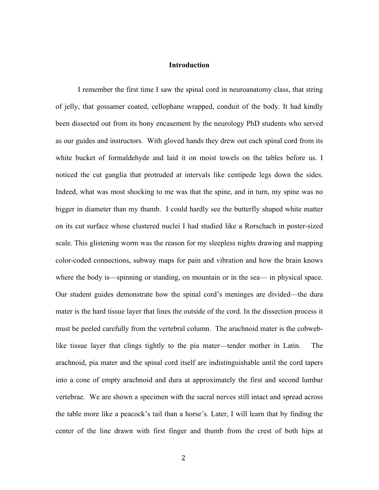### **Introduction**

I remember the first time I saw the spinal cord in neuroanatomy class, that string of jelly, that gossamer coated, cellophane wrapped, conduit of the body. It had kindly been dissected out from its bony encasement by the neurology PhD students who served as our guides and instructors. With gloved hands they drew out each spinal cord from its white bucket of formaldehyde and laid it on moist towels on the tables before us. I noticed the cut ganglia that protruded at intervals like centipede legs down the sides. Indeed, what was most shocking to me was that the spine, and in turn, my spine was no bigger in diameter than my thumb. I could hardly see the butterfly shaped white matter on its cut surface whose clustered nuclei I had studied like a Rorschach in poster-sized scale. This glistening worm was the reason for my sleepless nights drawing and mapping color-coded connections, subway maps for pain and vibration and how the brain knows where the body is—spinning or standing, on mountain or in the sea— in physical space. Our student guides demonstrate how the spinal cord's meninges are divided—the dura mater is the hard tissue layer that lines the outside of the cord. In the dissection process it must be peeled carefully from the vertebral column. The arachnoid mater is the cobweblike tissue layer that clings tightly to the pia mater—tender mother in Latin. The arachnoid, pia mater and the spinal cord itself are indistinguishable until the cord tapers into a cone of empty arachnoid and dura at approximately the first and second lumbar vertebrae. We are shown a specimen with the sacral nerves still intact and spread across the table more like a peacock's tail than a horse's. Later, I will learn that by finding the center of the line drawn with first finger and thumb from the crest of both hips at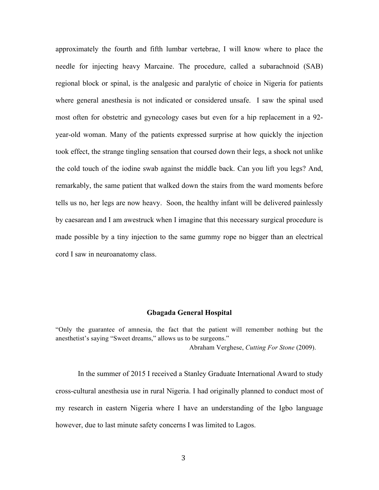approximately the fourth and fifth lumbar vertebrae, I will know where to place the needle for injecting heavy Marcaine. The procedure, called a subarachnoid (SAB) regional block or spinal, is the analgesic and paralytic of choice in Nigeria for patients where general anesthesia is not indicated or considered unsafe. I saw the spinal used most often for obstetric and gynecology cases but even for a hip replacement in a 92 year-old woman. Many of the patients expressed surprise at how quickly the injection took effect, the strange tingling sensation that coursed down their legs, a shock not unlike the cold touch of the iodine swab against the middle back. Can you lift you legs? And, remarkably, the same patient that walked down the stairs from the ward moments before tells us no, her legs are now heavy. Soon, the healthy infant will be delivered painlessly by caesarean and I am awestruck when I imagine that this necessary surgical procedure is made possible by a tiny injection to the same gummy rope no bigger than an electrical cord I saw in neuroanatomy class.

#### **Gbagada General Hospital**

"Only the guarantee of amnesia, the fact that the patient will remember nothing but the anesthetist's saying "Sweet dreams," allows us to be surgeons." Abraham Verghese, *Cutting For Stone* (2009).

In the summer of 2015 I received a Stanley Graduate International Award to study cross-cultural anesthesia use in rural Nigeria. I had originally planned to conduct most of my research in eastern Nigeria where I have an understanding of the Igbo language however, due to last minute safety concerns I was limited to Lagos.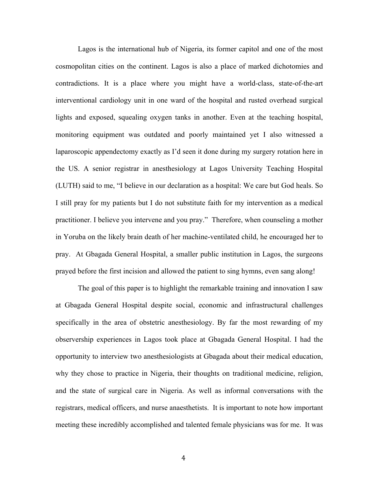Lagos is the international hub of Nigeria, its former capitol and one of the most cosmopolitan cities on the continent. Lagos is also a place of marked dichotomies and contradictions. It is a place where you might have a world-class, state-of-the-art interventional cardiology unit in one ward of the hospital and rusted overhead surgical lights and exposed, squealing oxygen tanks in another. Even at the teaching hospital, monitoring equipment was outdated and poorly maintained yet I also witnessed a laparoscopic appendectomy exactly as I'd seen it done during my surgery rotation here in the US. A senior registrar in anesthesiology at Lagos University Teaching Hospital (LUTH) said to me, "I believe in our declaration as a hospital: We care but God heals. So I still pray for my patients but I do not substitute faith for my intervention as a medical practitioner. I believe you intervene and you pray." Therefore, when counseling a mother in Yoruba on the likely brain death of her machine-ventilated child, he encouraged her to pray. At Gbagada General Hospital, a smaller public institution in Lagos, the surgeons prayed before the first incision and allowed the patient to sing hymns, even sang along!

The goal of this paper is to highlight the remarkable training and innovation I saw at Gbagada General Hospital despite social, economic and infrastructural challenges specifically in the area of obstetric anesthesiology. By far the most rewarding of my observership experiences in Lagos took place at Gbagada General Hospital. I had the opportunity to interview two anesthesiologists at Gbagada about their medical education, why they chose to practice in Nigeria, their thoughts on traditional medicine, religion, and the state of surgical care in Nigeria. As well as informal conversations with the registrars, medical officers, and nurse anaesthetists. It is important to note how important meeting these incredibly accomplished and talented female physicians was for me. It was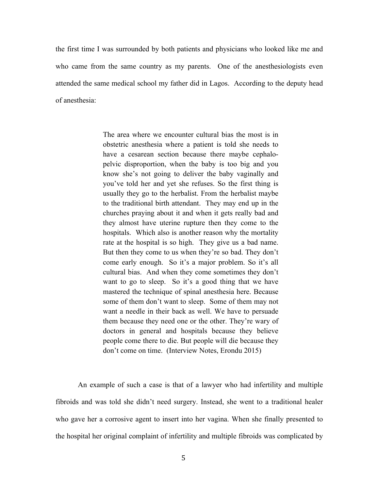the first time I was surrounded by both patients and physicians who looked like me and who came from the same country as my parents. One of the anesthesiologists even attended the same medical school my father did in Lagos. According to the deputy head of anesthesia:

> The area where we encounter cultural bias the most is in obstetric anesthesia where a patient is told she needs to have a cesarean section because there maybe cephalopelvic disproportion, when the baby is too big and you know she's not going to deliver the baby vaginally and you've told her and yet she refuses. So the first thing is usually they go to the herbalist. From the herbalist maybe to the traditional birth attendant. They may end up in the churches praying about it and when it gets really bad and they almost have uterine rupture then they come to the hospitals. Which also is another reason why the mortality rate at the hospital is so high. They give us a bad name. But then they come to us when they're so bad. They don't come early enough. So it's a major problem. So it's all cultural bias. And when they come sometimes they don't want to go to sleep. So it's a good thing that we have mastered the technique of spinal anesthesia here. Because some of them don't want to sleep. Some of them may not want a needle in their back as well. We have to persuade them because they need one or the other. They're wary of doctors in general and hospitals because they believe people come there to die. But people will die because they don't come on time. (Interview Notes, Erondu 2015)

An example of such a case is that of a lawyer who had infertility and multiple fibroids and was told she didn't need surgery. Instead, she went to a traditional healer who gave her a corrosive agent to insert into her vagina. When she finally presented to the hospital her original complaint of infertility and multiple fibroids was complicated by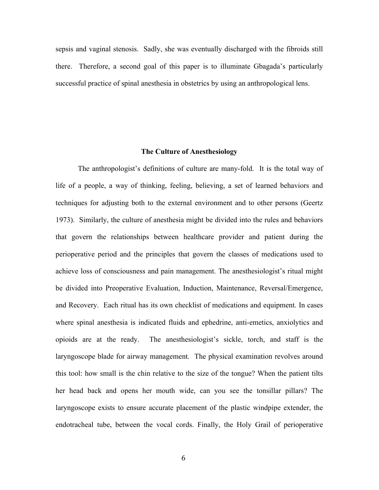sepsis and vaginal stenosis. Sadly, she was eventually discharged with the fibroids still there. Therefore, a second goal of this paper is to illuminate Gbagada's particularly successful practice of spinal anesthesia in obstetrics by using an anthropological lens.

### **The Culture of Anesthesiology**

The anthropologist's definitions of culture are many-fold. It is the total way of life of a people, a way of thinking, feeling, believing, a set of learned behaviors and techniques for adjusting both to the external environment and to other persons (Geertz 1973). Similarly, the culture of anesthesia might be divided into the rules and behaviors that govern the relationships between healthcare provider and patient during the perioperative period and the principles that govern the classes of medications used to achieve loss of consciousness and pain management. The anesthesiologist's ritual might be divided into Preoperative Evaluation, Induction, Maintenance, Reversal/Emergence, and Recovery. Each ritual has its own checklist of medications and equipment. In cases where spinal anesthesia is indicated fluids and ephedrine, anti-emetics, anxiolytics and opioids are at the ready. The anesthesiologist's sickle, torch, and staff is the laryngoscope blade for airway management. The physical examination revolves around this tool: how small is the chin relative to the size of the tongue? When the patient tilts her head back and opens her mouth wide, can you see the tonsillar pillars? The laryngoscope exists to ensure accurate placement of the plastic windpipe extender, the endotracheal tube, between the vocal cords. Finally, the Holy Grail of perioperative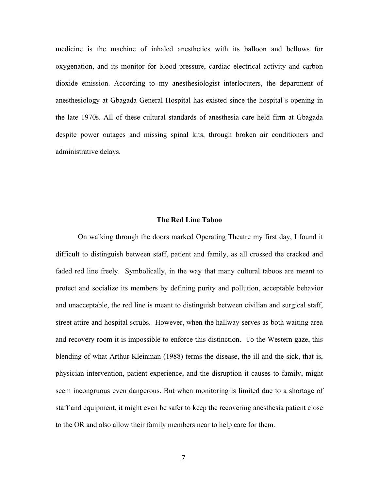medicine is the machine of inhaled anesthetics with its balloon and bellows for oxygenation, and its monitor for blood pressure, cardiac electrical activity and carbon dioxide emission. According to my anesthesiologist interlocuters, the department of anesthesiology at Gbagada General Hospital has existed since the hospital's opening in the late 1970s. All of these cultural standards of anesthesia care held firm at Gbagada despite power outages and missing spinal kits, through broken air conditioners and administrative delays.

#### **The Red Line Taboo**

On walking through the doors marked Operating Theatre my first day, I found it difficult to distinguish between staff, patient and family, as all crossed the cracked and faded red line freely. Symbolically, in the way that many cultural taboos are meant to protect and socialize its members by defining purity and pollution, acceptable behavior and unacceptable, the red line is meant to distinguish between civilian and surgical staff, street attire and hospital scrubs. However, when the hallway serves as both waiting area and recovery room it is impossible to enforce this distinction. To the Western gaze, this blending of what Arthur Kleinman (1988) terms the disease, the ill and the sick, that is, physician intervention, patient experience, and the disruption it causes to family, might seem incongruous even dangerous. But when monitoring is limited due to a shortage of staff and equipment, it might even be safer to keep the recovering anesthesia patient close to the OR and also allow their family members near to help care for them.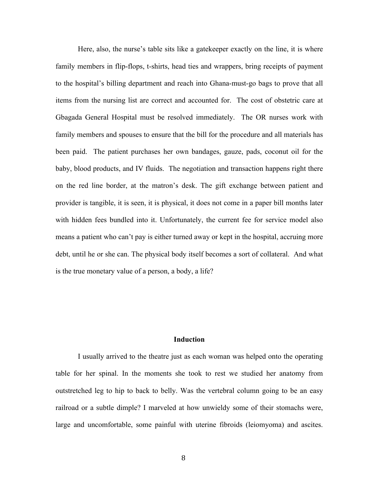Here, also, the nurse's table sits like a gatekeeper exactly on the line, it is where family members in flip-flops, t-shirts, head ties and wrappers, bring receipts of payment to the hospital's billing department and reach into Ghana-must-go bags to prove that all items from the nursing list are correct and accounted for. The cost of obstetric care at Gbagada General Hospital must be resolved immediately. The OR nurses work with family members and spouses to ensure that the bill for the procedure and all materials has been paid. The patient purchases her own bandages, gauze, pads, coconut oil for the baby, blood products, and IV fluids. The negotiation and transaction happens right there on the red line border, at the matron's desk. The gift exchange between patient and provider is tangible, it is seen, it is physical, it does not come in a paper bill months later with hidden fees bundled into it. Unfortunately, the current fee for service model also means a patient who can't pay is either turned away or kept in the hospital, accruing more debt, until he or she can. The physical body itself becomes a sort of collateral. And what is the true monetary value of a person, a body, a life?

# **Induction**

I usually arrived to the theatre just as each woman was helped onto the operating table for her spinal. In the moments she took to rest we studied her anatomy from outstretched leg to hip to back to belly. Was the vertebral column going to be an easy railroad or a subtle dimple? I marveled at how unwieldy some of their stomachs were, large and uncomfortable, some painful with uterine fibroids (leiomyoma) and ascites.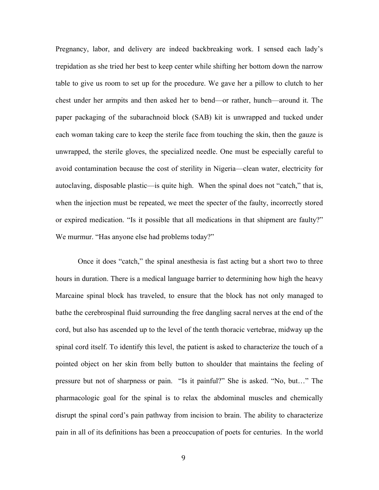Pregnancy, labor, and delivery are indeed backbreaking work. I sensed each lady's trepidation as she tried her best to keep center while shifting her bottom down the narrow table to give us room to set up for the procedure. We gave her a pillow to clutch to her chest under her armpits and then asked her to bend—or rather, hunch—around it. The paper packaging of the subarachnoid block (SAB) kit is unwrapped and tucked under each woman taking care to keep the sterile face from touching the skin, then the gauze is unwrapped, the sterile gloves, the specialized needle. One must be especially careful to avoid contamination because the cost of sterility in Nigeria—clean water, electricity for autoclaving, disposable plastic—is quite high. When the spinal does not "catch," that is, when the injection must be repeated, we meet the specter of the faulty, incorrectly stored or expired medication. "Is it possible that all medications in that shipment are faulty?" We murmur. "Has anyone else had problems today?"

Once it does "catch," the spinal anesthesia is fast acting but a short two to three hours in duration. There is a medical language barrier to determining how high the heavy Marcaine spinal block has traveled, to ensure that the block has not only managed to bathe the cerebrospinal fluid surrounding the free dangling sacral nerves at the end of the cord, but also has ascended up to the level of the tenth thoracic vertebrae, midway up the spinal cord itself. To identify this level, the patient is asked to characterize the touch of a pointed object on her skin from belly button to shoulder that maintains the feeling of pressure but not of sharpness or pain. "Is it painful?" She is asked. "No, but…" The pharmacologic goal for the spinal is to relax the abdominal muscles and chemically disrupt the spinal cord's pain pathway from incision to brain. The ability to characterize pain in all of its definitions has been a preoccupation of poets for centuries. In the world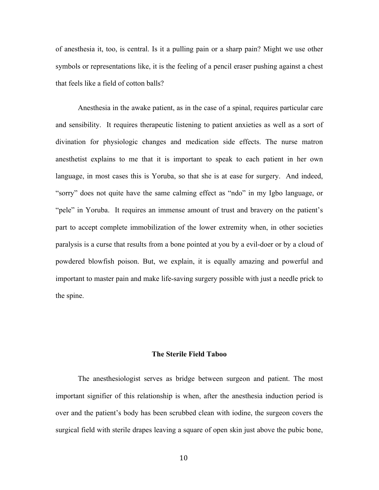of anesthesia it, too, is central. Is it a pulling pain or a sharp pain? Might we use other symbols or representations like, it is the feeling of a pencil eraser pushing against a chest that feels like a field of cotton balls?

Anesthesia in the awake patient, as in the case of a spinal, requires particular care and sensibility. It requires therapeutic listening to patient anxieties as well as a sort of divination for physiologic changes and medication side effects. The nurse matron anesthetist explains to me that it is important to speak to each patient in her own language, in most cases this is Yoruba, so that she is at ease for surgery. And indeed, "sorry" does not quite have the same calming effect as "ndo" in my Igbo language, or "pele" in Yoruba. It requires an immense amount of trust and bravery on the patient's part to accept complete immobilization of the lower extremity when, in other societies paralysis is a curse that results from a bone pointed at you by a evil-doer or by a cloud of powdered blowfish poison. But, we explain, it is equally amazing and powerful and important to master pain and make life-saving surgery possible with just a needle prick to the spine.

### **The Sterile Field Taboo**

The anesthesiologist serves as bridge between surgeon and patient. The most important signifier of this relationship is when, after the anesthesia induction period is over and the patient's body has been scrubbed clean with iodine, the surgeon covers the surgical field with sterile drapes leaving a square of open skin just above the pubic bone,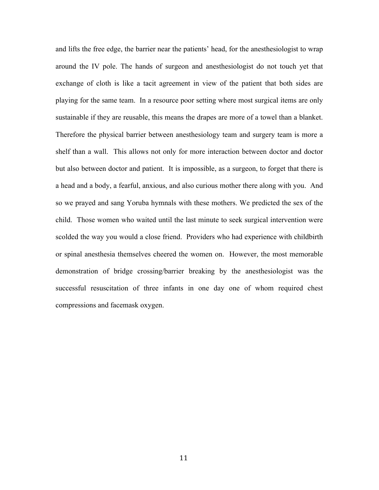and lifts the free edge, the barrier near the patients' head, for the anesthesiologist to wrap around the IV pole. The hands of surgeon and anesthesiologist do not touch yet that exchange of cloth is like a tacit agreement in view of the patient that both sides are playing for the same team. In a resource poor setting where most surgical items are only sustainable if they are reusable, this means the drapes are more of a towel than a blanket. Therefore the physical barrier between anesthesiology team and surgery team is more a shelf than a wall. This allows not only for more interaction between doctor and doctor but also between doctor and patient. It is impossible, as a surgeon, to forget that there is a head and a body, a fearful, anxious, and also curious mother there along with you. And so we prayed and sang Yoruba hymnals with these mothers. We predicted the sex of the child. Those women who waited until the last minute to seek surgical intervention were scolded the way you would a close friend. Providers who had experience with childbirth or spinal anesthesia themselves cheered the women on. However, the most memorable demonstration of bridge crossing/barrier breaking by the anesthesiologist was the successful resuscitation of three infants in one day one of whom required chest compressions and facemask oxygen.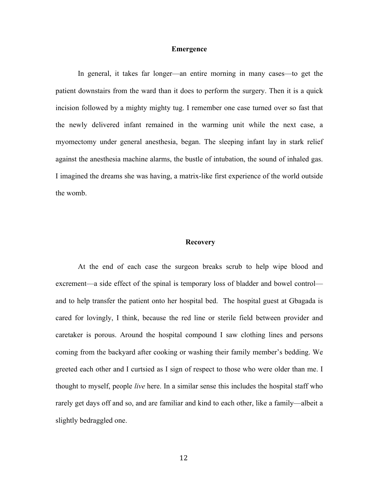#### **Emergence**

In general, it takes far longer—an entire morning in many cases—to get the patient downstairs from the ward than it does to perform the surgery. Then it is a quick incision followed by a mighty mighty tug. I remember one case turned over so fast that the newly delivered infant remained in the warming unit while the next case, a myomectomy under general anesthesia, began. The sleeping infant lay in stark relief against the anesthesia machine alarms, the bustle of intubation, the sound of inhaled gas. I imagined the dreams she was having, a matrix-like first experience of the world outside the womb.

#### **Recovery**

At the end of each case the surgeon breaks scrub to help wipe blood and excrement—a side effect of the spinal is temporary loss of bladder and bowel control and to help transfer the patient onto her hospital bed. The hospital guest at Gbagada is cared for lovingly, I think, because the red line or sterile field between provider and caretaker is porous. Around the hospital compound I saw clothing lines and persons coming from the backyard after cooking or washing their family member's bedding. We greeted each other and I curtsied as I sign of respect to those who were older than me. I thought to myself, people *live* here. In a similar sense this includes the hospital staff who rarely get days off and so, and are familiar and kind to each other, like a family—albeit a slightly bedraggled one.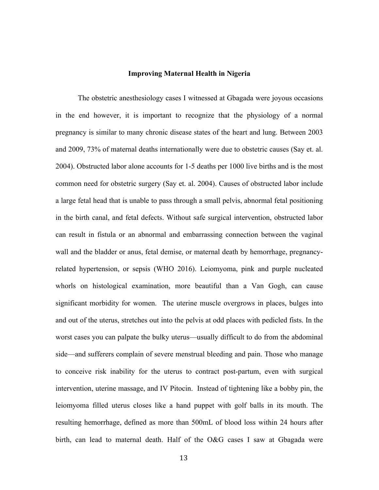#### **Improving Maternal Health in Nigeria**

The obstetric anesthesiology cases I witnessed at Gbagada were joyous occasions in the end however, it is important to recognize that the physiology of a normal pregnancy is similar to many chronic disease states of the heart and lung. Between 2003 and 2009, 73% of maternal deaths internationally were due to obstetric causes (Say et. al. 2004). Obstructed labor alone accounts for 1-5 deaths per 1000 live births and is the most common need for obstetric surgery (Say et. al. 2004). Causes of obstructed labor include a large fetal head that is unable to pass through a small pelvis, abnormal fetal positioning in the birth canal, and fetal defects. Without safe surgical intervention, obstructed labor can result in fistula or an abnormal and embarrassing connection between the vaginal wall and the bladder or anus, fetal demise, or maternal death by hemorrhage, pregnancyrelated hypertension, or sepsis (WHO 2016). Leiomyoma, pink and purple nucleated whorls on histological examination, more beautiful than a Van Gogh, can cause significant morbidity for women. The uterine muscle overgrows in places, bulges into and out of the uterus, stretches out into the pelvis at odd places with pedicled fists. In the worst cases you can palpate the bulky uterus—usually difficult to do from the abdominal side—and sufferers complain of severe menstrual bleeding and pain. Those who manage to conceive risk inability for the uterus to contract post-partum, even with surgical intervention, uterine massage, and IV Pitocin. Instead of tightening like a bobby pin, the leiomyoma filled uterus closes like a hand puppet with golf balls in its mouth. The resulting hemorrhage, defined as more than 500mL of blood loss within 24 hours after birth, can lead to maternal death. Half of the O&G cases I saw at Gbagada were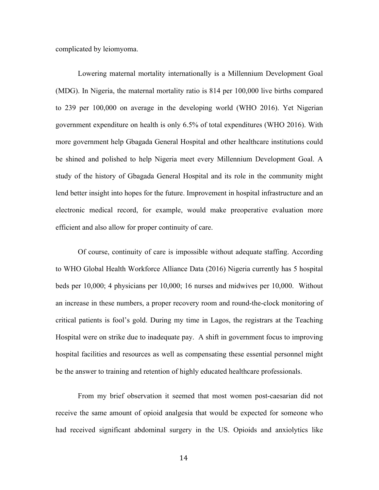complicated by leiomyoma.

Lowering maternal mortality internationally is a Millennium Development Goal (MDG). In Nigeria, the maternal mortality ratio is 814 per 100,000 live births compared to 239 per 100,000 on average in the developing world (WHO 2016). Yet Nigerian government expenditure on health is only 6.5% of total expenditures (WHO 2016). With more government help Gbagada General Hospital and other healthcare institutions could be shined and polished to help Nigeria meet every Millennium Development Goal. A study of the history of Gbagada General Hospital and its role in the community might lend better insight into hopes for the future. Improvement in hospital infrastructure and an electronic medical record, for example, would make preoperative evaluation more efficient and also allow for proper continuity of care.

Of course, continuity of care is impossible without adequate staffing. According to WHO Global Health Workforce Alliance Data (2016) Nigeria currently has 5 hospital beds per 10,000; 4 physicians per 10,000; 16 nurses and midwives per 10,000. Without an increase in these numbers, a proper recovery room and round-the-clock monitoring of critical patients is fool's gold. During my time in Lagos, the registrars at the Teaching Hospital were on strike due to inadequate pay. A shift in government focus to improving hospital facilities and resources as well as compensating these essential personnel might be the answer to training and retention of highly educated healthcare professionals.

From my brief observation it seemed that most women post-caesarian did not receive the same amount of opioid analgesia that would be expected for someone who had received significant abdominal surgery in the US. Opioids and anxiolytics like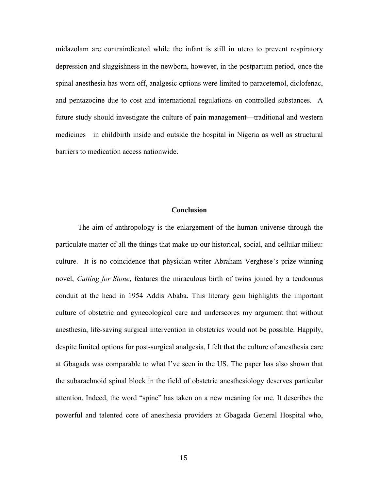midazolam are contraindicated while the infant is still in utero to prevent respiratory depression and sluggishness in the newborn, however, in the postpartum period, once the spinal anesthesia has worn off, analgesic options were limited to paracetemol, diclofenac, and pentazocine due to cost and international regulations on controlled substances. A future study should investigate the culture of pain management—traditional and western medicines—in childbirth inside and outside the hospital in Nigeria as well as structural barriers to medication access nationwide.

### **Conclusion**

The aim of anthropology is the enlargement of the human universe through the particulate matter of all the things that make up our historical, social, and cellular milieu: culture. It is no coincidence that physician-writer Abraham Verghese's prize-winning novel, *Cutting for Stone*, features the miraculous birth of twins joined by a tendonous conduit at the head in 1954 Addis Ababa. This literary gem highlights the important culture of obstetric and gynecological care and underscores my argument that without anesthesia, life-saving surgical intervention in obstetrics would not be possible. Happily, despite limited options for post-surgical analgesia, I felt that the culture of anesthesia care at Gbagada was comparable to what I've seen in the US. The paper has also shown that the subarachnoid spinal block in the field of obstetric anesthesiology deserves particular attention. Indeed, the word "spine" has taken on a new meaning for me. It describes the powerful and talented core of anesthesia providers at Gbagada General Hospital who,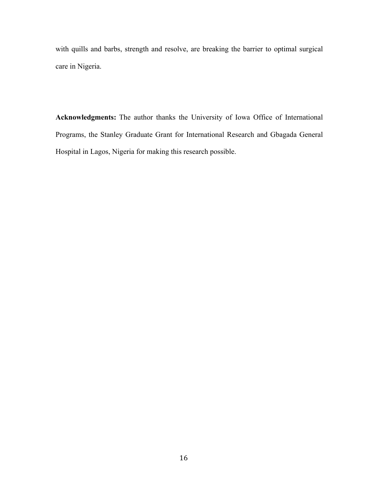with quills and barbs, strength and resolve, are breaking the barrier to optimal surgical care in Nigeria.

**Acknowledgments:** The author thanks the University of Iowa Office of International Programs, the Stanley Graduate Grant for International Research and Gbagada General Hospital in Lagos, Nigeria for making this research possible.